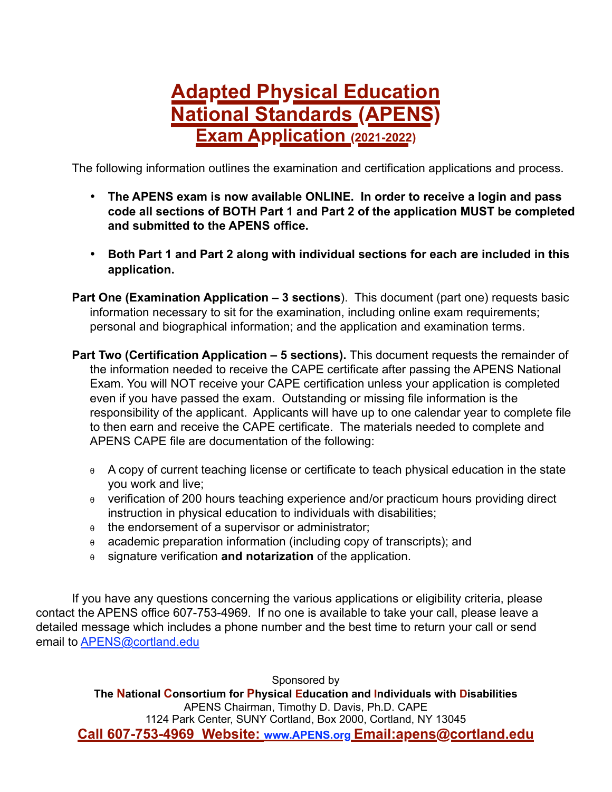## **Adapted Physical Education National Standards (APENS) Exam Application** (2021-2022)

The following information outlines the examination and certification applications and process.

- **The APENS exam is now available ONLINE. In order to receive a login and pass code all sections of BOTH Part 1 and Part 2 of the application MUST be completed and submitted to the APENS office.**
- **Both Part 1 and Part 2 along with individual sections for each are included in this application.**
- **Part One (Examination Application – 3 sections**). This document (part one) requests basic information necessary to sit for the examination, including online exam requirements; personal and biographical information; and the application and examination terms.
- **Part Two (Certification Application 5 sections).** This document requests the remainder of the information needed to receive the CAPE certificate after passing the APENS National Exam. You will NOT receive your CAPE certification unless your application is completed even if you have passed the exam. Outstanding or missing file information is the responsibility of the applicant. Applicants will have up to one calendar year to complete file to then earn and receive the CAPE certificate. The materials needed to complete and APENS CAPE file are documentation of the following:
	- <sup>θ</sup> A copy of current teaching license or certificate to teach physical education in the state you work and live;
	- <sup>θ</sup> verification of 200 hours teaching experience and/or practicum hours providing direct instruction in physical education to individuals with disabilities;
	- <sup>θ</sup> the endorsement of a supervisor or administrator;
	- <sup>θ</sup> academic preparation information (including copy of transcripts); and
	- <sup>θ</sup> signature verification **and notarization** of the application.

If you have any questions concerning the various applications or eligibility criteria, please contact the APENS office 607-753-4969. If no one is available to take your call, please leave a detailed message which includes a phone number and the best time to return your call or send email to [APENS@cortland.edu](%22mailto:)

Sponsored by **The National Consortium for Physical Education and Individuals with Disabilities** APENS Chairman, Timothy D. Davis, Ph.D. CAPE 1124 Park Center, SUNY Cortland, Box 2000, Cortland, NY 13045 **Call 607-753-4969 Website: [www.APENS.org](http://www.APENS.org) Email:apens@cortland.edu**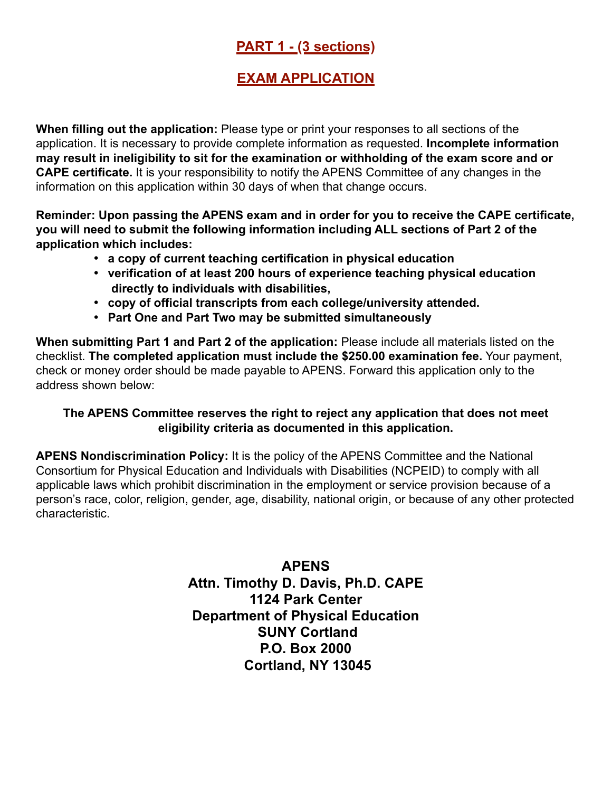### **PART 1 - (3 sections)**

### **EXAM APPLICATION**

**When filling out the application:** Please type or print your responses to all sections of the application. It is necessary to provide complete information as requested. **Incomplete information may result in ineligibility to sit for the examination or withholding of the exam score and or CAPE certificate.** It is your responsibility to notify the APENS Committee of any changes in the information on this application within 30 days of when that change occurs.

**Reminder: Upon passing the APENS exam and in order for you to receive the CAPE certificate, you will need to submit the following information including ALL sections of Part 2 of the application which includes:**

- **a copy of current teaching certification in physical education**
- **verification of at least 200 hours of experience teaching physical education directly to individuals with disabilities,**
- **copy of official transcripts from each college/university attended.**
- **Part One and Part Two may be submitted simultaneously**

**When submitting Part 1 and Part 2 of the application:** Please include all materials listed on the checklist. **The completed application must include the \$250.00 examination fee.** Your payment, check or money order should be made payable to APENS. Forward this application only to the address shown below:

#### **The APENS Committee reserves the right to reject any application that does not meet eligibility criteria as documented in this application.**

**APENS Nondiscrimination Policy:** It is the policy of the APENS Committee and the National Consortium for Physical Education and Individuals with Disabilities (NCPEID) to comply with all applicable laws which prohibit discrimination in the employment or service provision because of a person's race, color, religion, gender, age, disability, national origin, or because of any other protected characteristic.

> **APENS Attn. Timothy D. Davis, Ph.D. CAPE 1124 Park Center Department of Physical Education SUNY Cortland P.O. Box 2000 Cortland, NY 13045**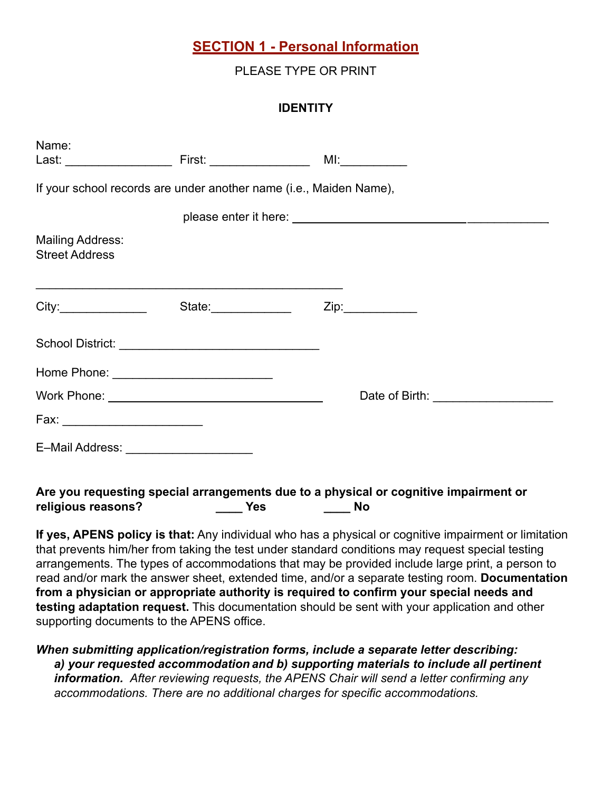#### **SECTION 1 - Personal Information**

PLEASE TYPE OR PRINT

#### **IDENTITY**

| Name:                                     |                                                                                                                                               |                                                                                      |
|-------------------------------------------|-----------------------------------------------------------------------------------------------------------------------------------------------|--------------------------------------------------------------------------------------|
|                                           |                                                                                                                                               | If your school records are under another name (i.e., Maiden Name),                   |
|                                           |                                                                                                                                               |                                                                                      |
| Mailing Address:<br><b>Street Address</b> |                                                                                                                                               |                                                                                      |
|                                           | <u> 1999 - Johann Harry Harry Harry Harry Harry Harry Harry Harry Harry Harry Harry Harry Harry Harry Harry Harry</u><br>State:______________ |                                                                                      |
|                                           |                                                                                                                                               |                                                                                      |
|                                           |                                                                                                                                               |                                                                                      |
|                                           |                                                                                                                                               |                                                                                      |
|                                           |                                                                                                                                               |                                                                                      |
| E-Mail Address: ______________________    |                                                                                                                                               |                                                                                      |
|                                           |                                                                                                                                               | Are you requesting special arrangements due to a physical or cognitive impairment or |

**religious reasons? \_\_\_\_ Yes \_\_\_\_ No**

**If yes, APENS policy is that:** Any individual who has a physical or cognitive impairment or limitation that prevents him/her from taking the test under standard conditions may request special testing arrangements. The types of accommodations that may be provided include large print, a person to read and/or mark the answer sheet, extended time, and/or a separate testing room. **Documentation from a physician or appropriate authority is required to confirm your special needs and testing adaptation request.** This documentation should be sent with your application and other supporting documents to the APENS office.

*When submitting application/registration forms, include a separate letter describing:* a) your requested accommodation and b) supporting materials to include all pertinent *information. After reviewing requests, the APENS Chair will send a letter confirming any accommodations. There are no additional charges for specific accommodations.*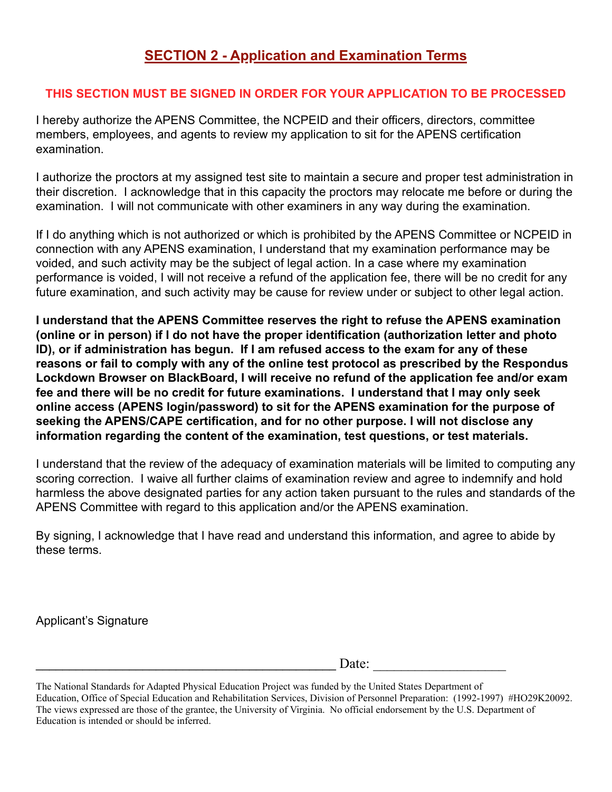#### **THIS SECTION MUST BE SIGNED IN ORDER FOR YOUR APPLICATION TO BE PROCESSED**

I hereby authorize the APENS Committee, the NCPEID and their officers, directors, committee members, employees, and agents to review my application to sit for the APENS certification examination.

I authorize the proctors at my assigned test site to maintain a secure and proper test administration in their discretion. I acknowledge that in this capacity the proctors may relocate me before or during the examination. I will not communicate with other examiners in any way during the examination.

If I do anything which is not authorized or which is prohibited by the APENS Committee or NCPEID in connection with any APENS examination, I understand that my examination performance may be voided, and such activity may be the subject of legal action. In a case where my examination performance is voided, I will not receive a refund of the application fee, there will be no credit for any future examination, and such activity may be cause for review under or subject to other legal action.

**I understand that the APENS Committee reserves the right to refuse the APENS examination (online or in person) if I do not have the proper identification (authorization letter and photo ID), or if administration has begun. If I am refused access to the exam for any of these reasons or fail to comply with any of the online test protocol as prescribed by the Respondus Lockdown Browser on BlackBoard, I will receive no refund of the application fee and/or exam fee and there will be no credit for future examinations. I understand that I may only seek online access (APENS login/password) to sit for the APENS examination for the purpose of seeking the APENS/CAPE certification, and for no other purpose. I will not disclose any information regarding the content of the examination, test questions, or test materials.**

I understand that the review of the adequacy of examination materials will be limited to computing any scoring correction. I waive all further claims of examination review and agree to indemnify and hold harmless the above designated parties for any action taken pursuant to the rules and standards of the APENS Committee with regard to this application and/or the APENS examination.

By signing, I acknowledge that I have read and understand this information, and agree to abide by these terms.

Applicant's Signature

 $\Box$  Date:

The National Standards for Adapted Physical Education Project was funded by the United States Department of Education, Office of Special Education and Rehabilitation Services, Division of Personnel Preparation: (1992-1997) #HO29K20092. The views expressed are those of the grantee, the University of Virginia. No official endorsement by the U.S. Department of Education is intended or should be inferred.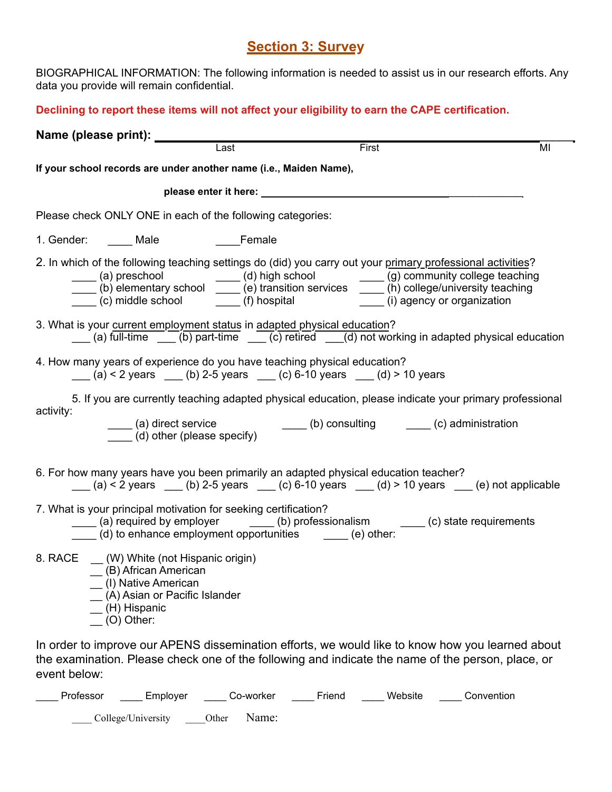#### **Section 3: Survey**

BIOGRAPHICAL INFORMATION: The following information is needed to assist us in our research efforts. Any data you provide will remain confidential.

**Declining to report these items will not affect your eligibility to earn the CAPE certification.**

|                        |                                                                                                                                                         | Last                                                                                                            | First  |                                                                                                                                                                                                                                                                                                                                                                           | MI |
|------------------------|---------------------------------------------------------------------------------------------------------------------------------------------------------|-----------------------------------------------------------------------------------------------------------------|--------|---------------------------------------------------------------------------------------------------------------------------------------------------------------------------------------------------------------------------------------------------------------------------------------------------------------------------------------------------------------------------|----|
|                        | If your school records are under another name (i.e., Maiden Name),                                                                                      |                                                                                                                 |        |                                                                                                                                                                                                                                                                                                                                                                           |    |
|                        |                                                                                                                                                         | please enter it here: explore the state of the state of the state of the state of the state of the state of the |        |                                                                                                                                                                                                                                                                                                                                                                           |    |
|                        | Please check ONLY ONE in each of the following categories:                                                                                              |                                                                                                                 |        |                                                                                                                                                                                                                                                                                                                                                                           |    |
| 1. Gender: ______ Male |                                                                                                                                                         | <b>Example 1</b> Female                                                                                         |        |                                                                                                                                                                                                                                                                                                                                                                           |    |
|                        |                                                                                                                                                         |                                                                                                                 |        | 2. In which of the following teaching settings do (did) you carry out your primary professional activities?<br>(a) preschool ______ (d) high school _______ (g) community college teaching<br>(b) elementary school ______ (e) transition services ______ (h) college/university teaching<br>(c) middle school (f) hospital (f) = (f) hospital (i) agency or organization |    |
|                        | 3. What is your current employment status in adapted physical education?                                                                                |                                                                                                                 |        | (a) full-time $\frac{1}{\sqrt{2}}$ (b) part-time $\frac{1}{\sqrt{2}}$ (c) retired $\frac{1}{\sqrt{2}}$ (d) not working in adapted physical education                                                                                                                                                                                                                      |    |
|                        | 4. How many years of experience do you have teaching physical education?<br>(a) < 2 years ___ (b) 2-5 years ___ (c) 6-10 years __ (d) > 10 years        |                                                                                                                 |        |                                                                                                                                                                                                                                                                                                                                                                           |    |
| activity:              |                                                                                                                                                         |                                                                                                                 |        | 5. If you are currently teaching adapted physical education, please indicate your primary professional<br>(a) direct service<br>(d) other (please specify) $\qquad \qquad$ (b) consulting $\qquad \qquad$ (c) administration                                                                                                                                              |    |
|                        | 6. For how many years have you been primarily an adapted physical education teacher?                                                                    |                                                                                                                 |        | (a) < 2 years ___ (b) 2-5 years ___ (c) 6-10 years __ (d) > 10 years __ (e) not applicable                                                                                                                                                                                                                                                                                |    |
|                        | 7. What is your principal motivation for seeking certification?<br>(d) to enhance employment opportunities _____ (e) other:                             |                                                                                                                 |        | (a) required by employer ________ (b) professionalism _______ (c) state requirements                                                                                                                                                                                                                                                                                      |    |
|                        | 8. RACE _ (W) White (not Hispanic origin)<br>(B) African American<br>(I) Native American<br>(A) Asian or Pacific Islander<br>(H) Hispanic<br>(O) Other: |                                                                                                                 |        |                                                                                                                                                                                                                                                                                                                                                                           |    |
| event below:           |                                                                                                                                                         |                                                                                                                 |        | In order to improve our APENS dissemination efforts, we would like to know how you learned about<br>the examination. Please check one of the following and indicate the name of the person, place, or                                                                                                                                                                     |    |
| Professor              | Employer                                                                                                                                                | Co-worker                                                                                                       | Friend | Convention<br>Website                                                                                                                                                                                                                                                                                                                                                     |    |

\_\_\_\_ College/University \_\_\_\_Other Name: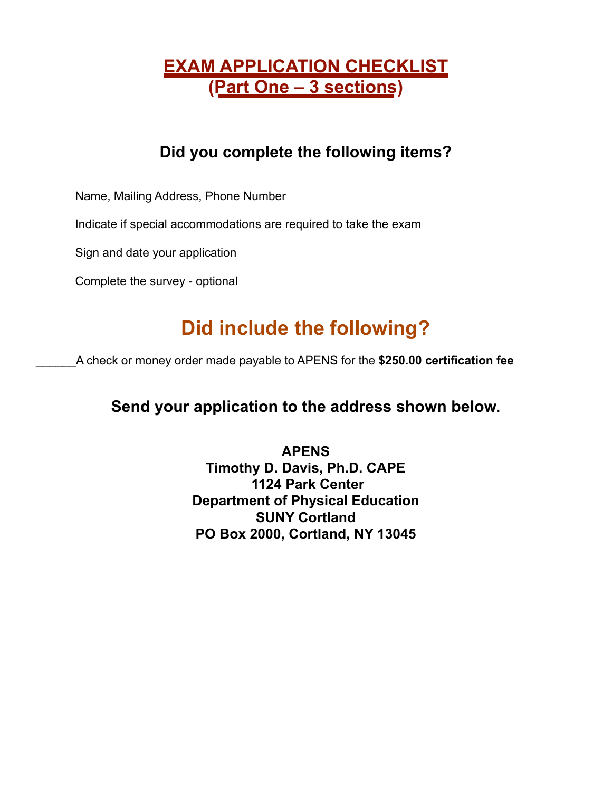## **EXAM APPLICATION CHECKLIST (Part One – 3 sections)**

### **Did you complete the following items?**

Name, Mailing Address, Phone Number

Indicate if special accommodations are required to take the exam

Sign and date your application

Complete the survey - optional

# **Did include the following?**

\_\_\_\_\_\_A check or money order made payable to APENS for the **\$250.00 certification fee**

### **Send your application to the address shown below.**

**APENS Timothy D. Davis, Ph.D. CAPE 1124 Park Center Department of Physical Education SUNY Cortland PO Box 2000, Cortland, NY 13045**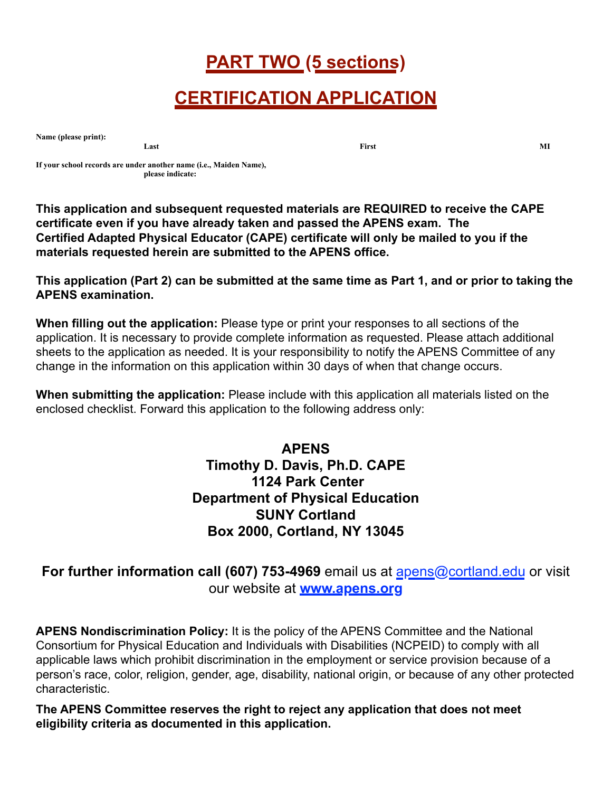## **PART TWO (5 sections)**

## **CERTIFICATION APPLICATION**

**Name (please print):** 

**Last** MI

**If your school records are under another name (i.e., Maiden Name), please indicate:** 

**This application and subsequent requested materials are REQUIRED to receive the CAPE certificate even if you have already taken and passed the APENS exam. The Certified Adapted Physical Educator (CAPE) certificate will only be mailed to you if the materials requested herein are submitted to the APENS office.** 

**This application (Part 2) can be submitted at the same time as Part 1, and or prior to taking the APENS examination.**

**When filling out the application:** Please type or print your responses to all sections of the application. It is necessary to provide complete information as requested. Please attach additional sheets to the application as needed. It is your responsibility to notify the APENS Committee of any change in the information on this application within 30 days of when that change occurs.

**When submitting the application:** Please include with this application all materials listed on the enclosed checklist. Forward this application to the following address only:

> **APENS Timothy D. Davis, Ph.D. CAPE 1124 Park Center Department of Physical Education SUNY Cortland Box 2000, Cortland, NY 13045**

**For further information call (607) 753-4969** email us at [apens@cortland.edu](mailto:apens@cortland.edu) or visit our website at **[www.apens.org](%22http://)**

**APENS Nondiscrimination Policy:** It is the policy of the APENS Committee and the National Consortium for Physical Education and Individuals with Disabilities (NCPEID) to comply with all applicable laws which prohibit discrimination in the employment or service provision because of a person's race, color, religion, gender, age, disability, national origin, or because of any other protected characteristic.

**The APENS Committee reserves the right to reject any application that does not meet eligibility criteria as documented in this application.**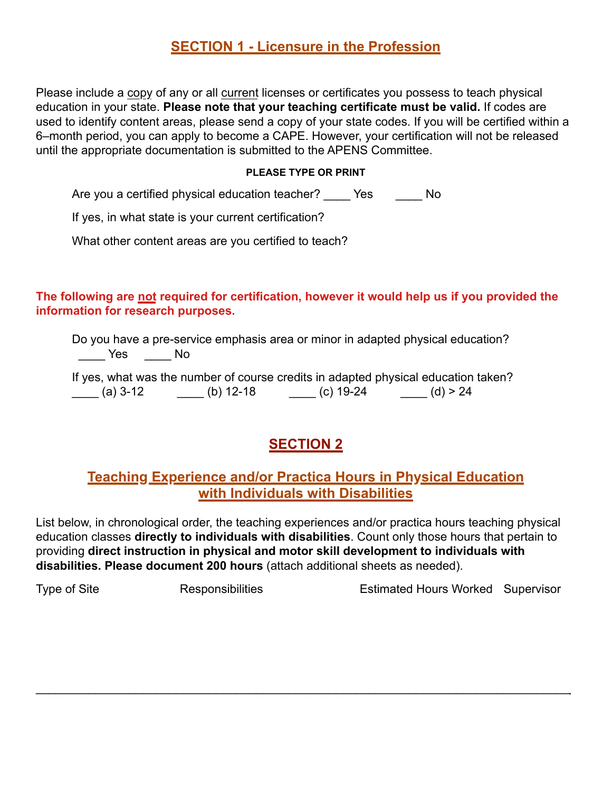#### **SECTION 1 - Licensure in the Profession**

Please include a copy of any or all current licenses or certificates you possess to teach physical education in your state. **Please note that your teaching certificate must be valid.** If codes are used to identify content areas, please send a copy of your state codes. If you will be certified within a 6–month period, you can apply to become a CAPE. However, your certification will not be released until the appropriate documentation is submitted to the APENS Committee.

#### **PLEASE TYPE OR PRINT**

Are you a certified physical education teacher? \_\_\_\_\_ Yes \_\_\_\_\_\_ No

If yes, in what state is your current certification?

What other content areas are you certified to teach?

**The following are not required for certification, however it would help us if you provided the information for research purposes.**

Do you have a pre-service emphasis area or minor in adapted physical education? \_\_\_\_ Yes \_\_\_\_ No

|          |           |           | If yes, what was the number of course credits in adapted physical education taken? |
|----------|-----------|-----------|------------------------------------------------------------------------------------|
| (a) 3-12 | (b) 12-18 | (c) 19-24 | (d) > 24                                                                           |

### **SECTION 2**

#### **Teaching Experience and/or Practica Hours in Physical Education with Individuals with Disabilities**

List below, in chronological order, the teaching experiences and/or practica hours teaching physical education classes **directly to individuals with disabilities**. Count only those hours that pertain to providing **direct instruction in physical and motor skill development to individuals with disabilities. Please document 200 hours** (attach additional sheets as needed).

 $\mathcal{L}_\mathcal{L} = \mathcal{L}_\mathcal{L} = \mathcal{L}_\mathcal{L} = \mathcal{L}_\mathcal{L} = \mathcal{L}_\mathcal{L} = \mathcal{L}_\mathcal{L} = \mathcal{L}_\mathcal{L} = \mathcal{L}_\mathcal{L} = \mathcal{L}_\mathcal{L} = \mathcal{L}_\mathcal{L} = \mathcal{L}_\mathcal{L} = \mathcal{L}_\mathcal{L} = \mathcal{L}_\mathcal{L} = \mathcal{L}_\mathcal{L} = \mathcal{L}_\mathcal{L} = \mathcal{L}_\mathcal{L} = \mathcal{L}_\mathcal{L}$ 

Type of Site **Responsibilities** Estimated Hours Worked Supervisor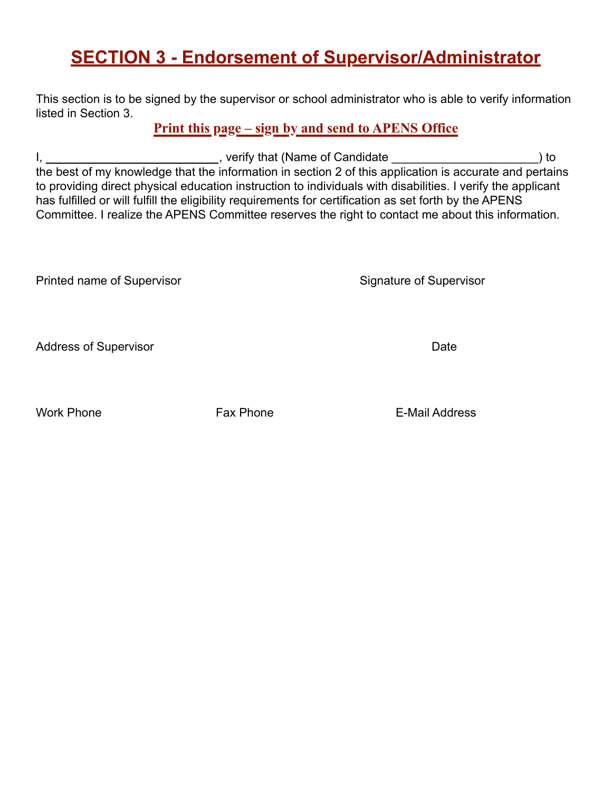## **SECTION 3 - Endorsement of Supervisor/Administrator**

This section is to be signed by the supervisor or school administrator who is able to verify information listed in Section 3.

**Print this page – sign by and send to APENS Office**

I, 1. All the same control of Candidate  $\Box$  and  $\Box$  are controlled to the same control of Candidate  $\Box$  to the best of my knowledge that the information in section 2 of this application is accurate and pertains to providing direct physical education instruction to individuals with disabilities. I verify the applicant has fulfilled or will fulfill the eligibility requirements for certification as set forth by the APENS Committee. I realize the APENS Committee reserves the right to contact me about this information.

Printed name of Supervisor Signature of Supervisor

Address of Supervisor **Date** 

Work Phone **Fax Phone** Fax Phone **Fax Phone Fax Phone F**-Mail Address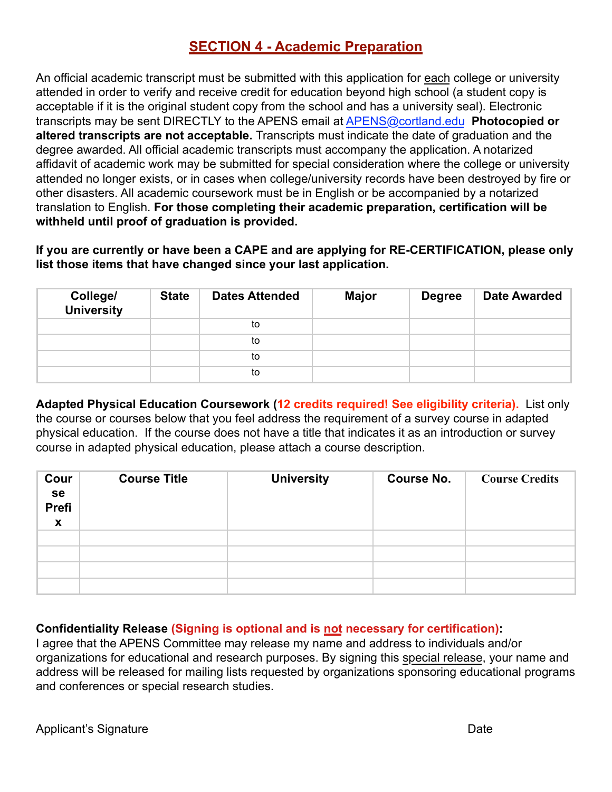#### **SECTION 4 - Academic Preparation**

An official academic transcript must be submitted with this application for each college or university attended in order to verify and receive credit for education beyond high school (a student copy is acceptable if it is the original student copy from the school and has a university seal). Electronic transcripts may be sent DIRECTLY to the APENS email at [APENS@cortland.edu](%22mailto:) **Photocopied or altered transcripts are not acceptable.** Transcripts must indicate the date of graduation and the degree awarded. All official academic transcripts must accompany the application. A notarized affidavit of academic work may be submitted for special consideration where the college or university attended no longer exists, or in cases when college/university records have been destroyed by fire or other disasters. All academic coursework must be in English or be accompanied by a notarized translation to English. **For those completing their academic preparation, certification will be withheld until proof of graduation is provided.**

**If you are currently or have been a CAPE and are applying for RE-CERTIFICATION, please only list those items that have changed since your last application.**

| College/<br><b>University</b> | <b>State</b> | <b>Dates Attended</b> | <b>Major</b> | <b>Degree</b> | Date Awarded |
|-------------------------------|--------------|-----------------------|--------------|---------------|--------------|
|                               |              | to                    |              |               |              |
|                               |              | to                    |              |               |              |
|                               |              | to                    |              |               |              |
|                               |              | to                    |              |               |              |

**Adapted Physical Education Coursework (12 credits required! See eligibility criteria).** List only the course or courses below that you feel address the requirement of a survey course in adapted physical education. If the course does not have a title that indicates it as an introduction or survey course in adapted physical education, please attach a course description.

| Cour<br>se<br>Prefi<br>$\mathbf{x}$ | <b>Course Title</b> | <b>University</b> | <b>Course No.</b> | <b>Course Credits</b> |
|-------------------------------------|---------------------|-------------------|-------------------|-----------------------|
|                                     |                     |                   |                   |                       |
|                                     |                     |                   |                   |                       |
|                                     |                     |                   |                   |                       |
|                                     |                     |                   |                   |                       |

**Confidentiality Release (Signing is optional and is not necessary for certification):**

I agree that the APENS Committee may release my name and address to individuals and/or organizations for educational and research purposes. By signing this special release, your name and address will be released for mailing lists requested by organizations sponsoring educational programs and conferences or special research studies.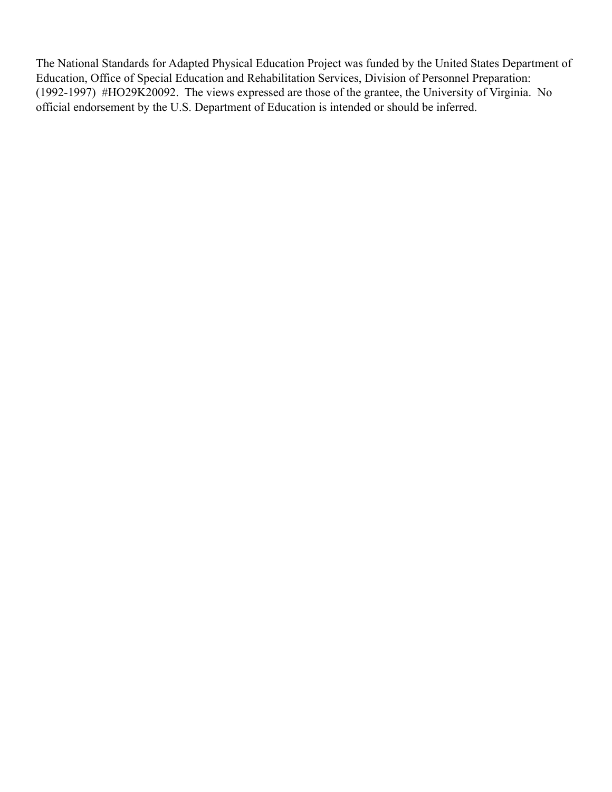The National Standards for Adapted Physical Education Project was funded by the United States Department of Education, Office of Special Education and Rehabilitation Services, Division of Personnel Preparation: (1992-1997) #HO29K20092. The views expressed are those of the grantee, the University of Virginia. No official endorsement by the U.S. Department of Education is intended or should be inferred.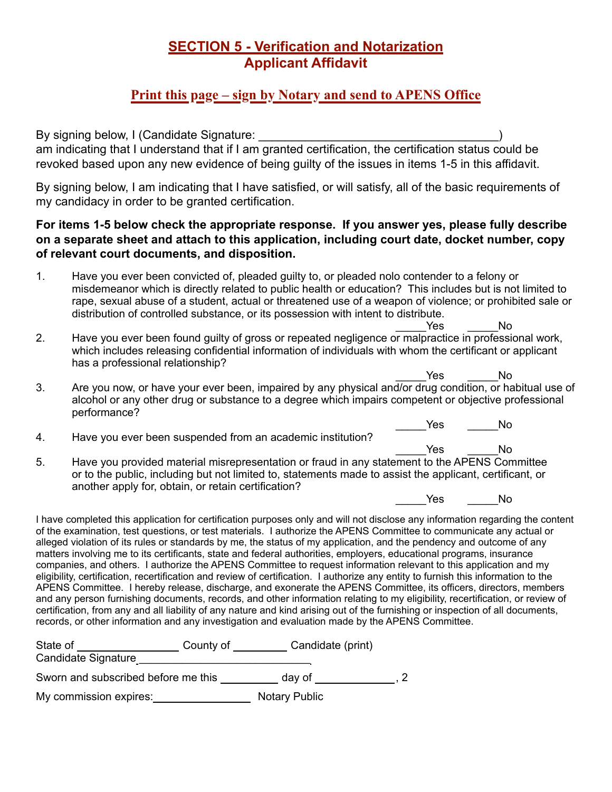#### **SECTION 5 - Verification and Notarization Applicant Affidavit**

#### **Print this page – sign by Notary and send to APENS Office**

By signing below, I (Candidate Signature: \_\_\_\_\_\_\_\_\_\_\_\_\_\_\_\_\_\_\_\_\_\_\_\_\_\_\_\_\_\_\_\_\_\_\_\_) am indicating that I understand that if I am granted certification, the certification status could be revoked based upon any new evidence of being guilty of the issues in items 1-5 in this affidavit.

By signing below, I am indicating that I have satisfied, or will satisfy, all of the basic requirements of my candidacy in order to be granted certification.

#### **For items 1-5 below check the appropriate response. If you answer yes, please fully describe on a separate sheet and attach to this application, including court date, docket number, copy of relevant court documents, and disposition.**

- 1. Have you ever been convicted of, pleaded guilty to, or pleaded nolo contender to a felony or misdemeanor which is directly related to public health or education? This includes but is not limited to rape, sexual abuse of a student, actual or threatened use of a weapon of violence; or prohibited sale or distribution of controlled substance, or its possession with intent to distribute.
- Yes No 2. Have you ever been found guilty of gross or repeated negligence or malpractice in professional work, which includes releasing confidential information of individuals with whom the certificant or applicant has a professional relationship?
- Yes No 3. Are you now, or have your ever been, impaired by any physical and/or drug condition, or habitual use of alcohol or any other drug or substance to a degree which impairs competent or objective professional performance?
- 4. Have you ever been suspended from an academic institution?
- Yes No 5. Have you provided material misrepresentation or fraud in any statement to the APENS Committee or to the public, including but not limited to, statements made to assist the applicant, certificant, or another apply for, obtain, or retain certification?

Yes No

Yes No

I have completed this application for certification purposes only and will not disclose any information regarding the content of the examination, test questions, or test materials. I authorize the APENS Committee to communicate any actual or alleged violation of its rules or standards by me, the status of my application, and the pendency and outcome of any matters involving me to its certificants, state and federal authorities, employers, educational programs, insurance companies, and others. I authorize the APENS Committee to request information relevant to this application and my eligibility, certification, recertification and review of certification. I authorize any entity to furnish this information to the APENS Committee. I hereby release, discharge, and exonerate the APENS Committee, its officers, directors, members and any person furnishing documents, records, and other information relating to my eligibility, recertification, or review of certification, from any and all liability of any nature and kind arising out of the furnishing or inspection of all documents, records, or other information and any investigation and evaluation made by the APENS Committee.

| State of                            | County of | Candidate (print)    |  |
|-------------------------------------|-----------|----------------------|--|
| Candidate Signature                 |           |                      |  |
| Sworn and subscribed before me this |           | dav of               |  |
| My commission expires:              |           | <b>Notary Public</b> |  |